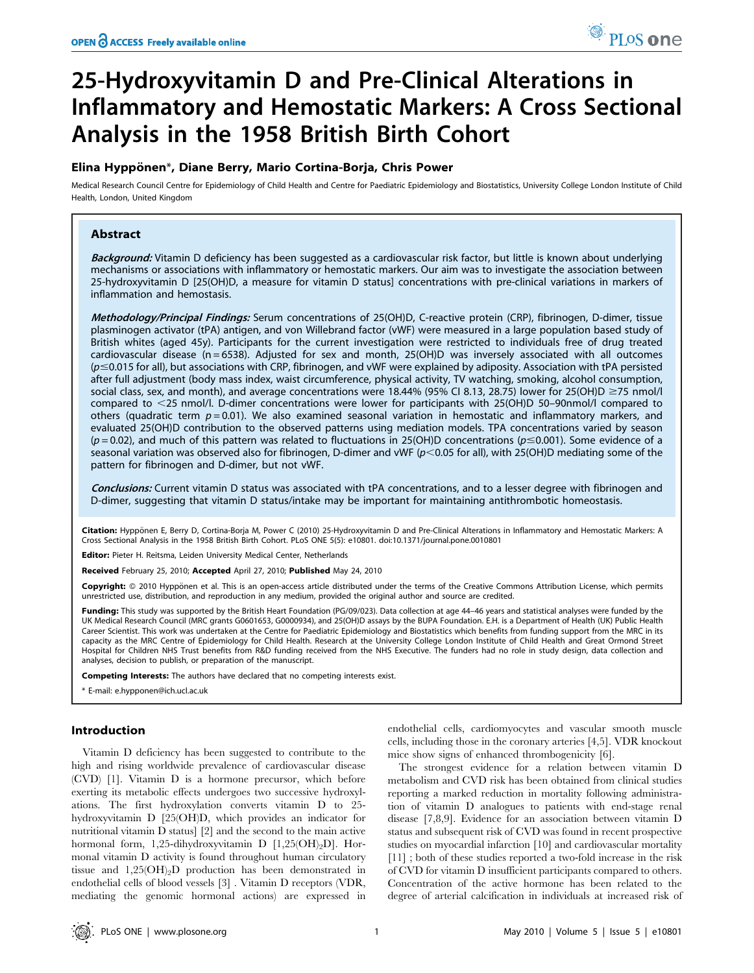# 25-Hydroxyvitamin D and Pre-Clinical Alterations in Inflammatory and Hemostatic Markers: A Cross Sectional Analysis in the 1958 British Birth Cohort

# Elina Hyppönen\*, Diane Berry, Mario Cortina-Borja, Chris Power

Medical Research Council Centre for Epidemiology of Child Health and Centre for Paediatric Epidemiology and Biostatistics, University College London Institute of Child Health, London, United Kingdom

# Abstract

Background: Vitamin D deficiency has been suggested as a cardiovascular risk factor, but little is known about underlying mechanisms or associations with inflammatory or hemostatic markers. Our aim was to investigate the association between 25-hydroxyvitamin D [25(OH)D, a measure for vitamin D status] concentrations with pre-clinical variations in markers of inflammation and hemostasis.

Methodology/Principal Findings: Serum concentrations of 25(OH)D, C-reactive protein (CRP), fibrinogen, D-dimer, tissue plasminogen activator (tPA) antigen, and von Willebrand factor (vWF) were measured in a large population based study of British whites (aged 45y). Participants for the current investigation were restricted to individuals free of drug treated cardiovascular disease (n = 6538). Adjusted for sex and month, 25(OH)D was inversely associated with all outcomes  $(p \le 0.015$  for all), but associations with CRP, fibrinogen, and vWF were explained by adiposity. Association with tPA persisted after full adjustment (body mass index, waist circumference, physical activity, TV watching, smoking, alcohol consumption, social class, sex, and month), and average concentrations were 18.44% (95% CI 8.13, 28.75) lower for 25(OH)D  $\geq$ 75 nmol/l compared to  $\leq$ 25 nmol/l. D-dimer concentrations were lower for participants with 25(OH)D 50–90nmol/l compared to others (quadratic term  $p = 0.01$ ). We also examined seasonal variation in hemostatic and inflammatory markers, and evaluated 25(OH)D contribution to the observed patterns using mediation models. TPA concentrations varied by season  $(p=0.02)$ , and much of this pattern was related to fluctuations in 25(OH)D concentrations ( $p \le 0.001$ ). Some evidence of a seasonal variation was observed also for fibrinogen, D-dimer and vWF ( $p$ <0.05 for all), with 25(OH)D mediating some of the pattern for fibrinogen and D-dimer, but not vWF.

Conclusions: Current vitamin D status was associated with tPA concentrations, and to a lesser degree with fibrinogen and D-dimer, suggesting that vitamin D status/intake may be important for maintaining antithrombotic homeostasis.

Citation: Hypponen E, Berry D, Cortina-Borja M, Power C (2010) 25-Hydroxyvitamin D and Pre-Clinical Alterations in Inflammatory and Hemostatic Markers: A Cross Sectional Analysis in the 1958 British Birth Cohort. PLoS ONE 5(5): e10801. doi:10.1371/journal.pone.0010801

Editor: Pieter H. Reitsma, Leiden University Medical Center, Netherlands

Received February 25, 2010; Accepted April 27, 2010; Published May 24, 2010

Copyright: © 2010 Hyppönen et al. This is an open-access article distributed under the terms of the Creative Commons Attribution License, which permits unrestricted use, distribution, and reproduction in any medium, provided the original author and source are credited.

Funding: This study was supported by the British Heart Foundation (PG/09/023). Data collection at age 44-46 years and statistical analyses were funded by the UK Medical Research Council (MRC grants G0601653, G0000934), and 25(OH)D assays by the BUPA Foundation. E.H. is a Department of Health (UK) Public Health Career Scientist. This work was undertaken at the Centre for Paediatric Epidemiology and Biostatistics which benefits from funding support from the MRC in its capacity as the MRC Centre of Epidemiology for Child Health. Research at the University College London Institute of Child Health and Great Ormond Street Hospital for Children NHS Trust benefits from R&D funding received from the NHS Executive. The funders had no role in study design, data collection and analyses, decision to publish, or preparation of the manuscript.

Competing Interests: The authors have declared that no competing interests exist.

\* E-mail: e.hypponen@ich.ucl.ac.uk

## Introduction

Vitamin D deficiency has been suggested to contribute to the high and rising worldwide prevalence of cardiovascular disease (CVD) [1]. Vitamin D is a hormone precursor, which before exerting its metabolic effects undergoes two successive hydroxylations. The first hydroxylation converts vitamin D to 25 hydroxyvitamin D [25(OH)D, which provides an indicator for nutritional vitamin D status] [2] and the second to the main active hormonal form, 1,25-dihydroxyvitamin D  $[1,25(OH)_2D]$ . Hormonal vitamin D activity is found throughout human circulatory tissue and 1,25(OH)2D production has been demonstrated in endothelial cells of blood vessels [3] . Vitamin D receptors (VDR, mediating the genomic hormonal actions) are expressed in endothelial cells, cardiomyocytes and vascular smooth muscle cells, including those in the coronary arteries [4,5]. VDR knockout mice show signs of enhanced thrombogenicity [6].

The strongest evidence for a relation between vitamin D metabolism and CVD risk has been obtained from clinical studies reporting a marked reduction in mortality following administration of vitamin D analogues to patients with end-stage renal disease [7,8,9]. Evidence for an association between vitamin D status and subsequent risk of CVD was found in recent prospective studies on myocardial infarction [10] and cardiovascular mortality [11] ; both of these studies reported a two-fold increase in the risk of CVD for vitamin D insufficient participants compared to others. Concentration of the active hormone has been related to the degree of arterial calcification in individuals at increased risk of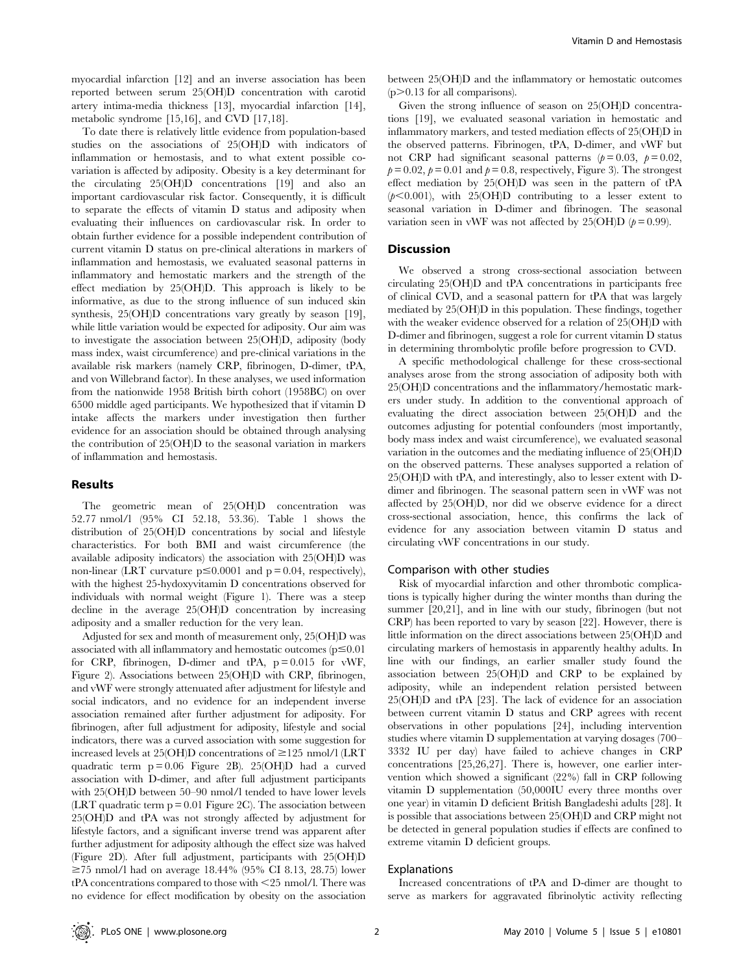myocardial infarction [12] and an inverse association has been reported between serum 25(OH)D concentration with carotid artery intima-media thickness [13], myocardial infarction [14], metabolic syndrome [15,16], and CVD [17,18].

To date there is relatively little evidence from population-based studies on the associations of 25(OH)D with indicators of inflammation or hemostasis, and to what extent possible covariation is affected by adiposity. Obesity is a key determinant for the circulating 25(OH)D concentrations [19] and also an important cardiovascular risk factor. Consequently, it is difficult to separate the effects of vitamin D status and adiposity when evaluating their influences on cardiovascular risk. In order to obtain further evidence for a possible independent contribution of current vitamin D status on pre-clinical alterations in markers of inflammation and hemostasis, we evaluated seasonal patterns in inflammatory and hemostatic markers and the strength of the effect mediation by 25(OH)D. This approach is likely to be informative, as due to the strong influence of sun induced skin synthesis, 25(OH)D concentrations vary greatly by season [19], while little variation would be expected for adiposity. Our aim was to investigate the association between 25(OH)D, adiposity (body mass index, waist circumference) and pre-clinical variations in the available risk markers (namely CRP, fibrinogen, D-dimer, tPA, and von Willebrand factor). In these analyses, we used information from the nationwide 1958 British birth cohort (1958BC) on over 6500 middle aged participants. We hypothesized that if vitamin D intake affects the markers under investigation then further evidence for an association should be obtained through analysing the contribution of 25(OH)D to the seasonal variation in markers of inflammation and hemostasis.

## Results

The geometric mean of 25(OH)D concentration was 52.77 nmol/l (95% CI 52.18, 53.36). Table 1 shows the distribution of 25(OH)D concentrations by social and lifestyle characteristics. For both BMI and waist circumference (the available adiposity indicators) the association with 25(OH)D was non-linear (LRT curvature  $p \le 0.0001$  and  $p = 0.04$ , respectively), with the highest 25-hydoxyvitamin D concentrations observed for individuals with normal weight (Figure 1). There was a steep decline in the average 25(OH)D concentration by increasing adiposity and a smaller reduction for the very lean.

Adjusted for sex and month of measurement only, 25(OH)D was associated with all inflammatory and hemostatic outcomes  $(p \le 0.01)$ for CRP, fibrinogen, D-dimer and  $tPA$ ,  $p = 0.015$  for vWF, Figure 2). Associations between 25(OH)D with CRP, fibrinogen, and vWF were strongly attenuated after adjustment for lifestyle and social indicators, and no evidence for an independent inverse association remained after further adjustment for adiposity. For fibrinogen, after full adjustment for adiposity, lifestyle and social indicators, there was a curved association with some suggestion for increased levels at 25(OH)D concentrations of  $\geq$ 125 nmol/l (LRT quadratic term  $p = 0.06$  Figure 2B). 25(OH)D had a curved association with D-dimer, and after full adjustment participants with 25(OH)D between 50–90 nmol/l tended to have lower levels (LRT quadratic term  $p = 0.01$  Figure 2C). The association between 25(OH)D and tPA was not strongly affected by adjustment for lifestyle factors, and a significant inverse trend was apparent after further adjustment for adiposity although the effect size was halved (Figure 2D). After full adjustment, participants with 25(OH)D  $\geq$ 75 nmol/l had on average 18.44% (95% CI 8.13, 28.75) lower  $tPA$  concentrations compared to those with  $\leq 25$  nmol/l. There was no evidence for effect modification by obesity on the association

between 25(OH)D and the inflammatory or hemostatic outcomes  $(p>0.13$  for all comparisons).

Given the strong influence of season on 25(OH)D concentrations [19], we evaluated seasonal variation in hemostatic and inflammatory markers, and tested mediation effects of 25(OH)D in the observed patterns. Fibrinogen, tPA, D-dimer, and vWF but not CRP had significant seasonal patterns ( $p = 0.03$ ,  $p = 0.02$ ,  $p= 0.02$ ,  $p= 0.01$  and  $p= 0.8$ , respectively, Figure 3). The strongest effect mediation by 25(OH)D was seen in the pattern of tPA  $(p<0.001)$ , with 25(OH)D contributing to a lesser extent to seasonal variation in D-dimer and fibrinogen. The seasonal variation seen in vWF was not affected by 25(OH)D  $(p = 0.99)$ .

## **Discussion**

We observed a strong cross-sectional association between circulating 25(OH)D and tPA concentrations in participants free of clinical CVD, and a seasonal pattern for tPA that was largely mediated by 25(OH)D in this population. These findings, together with the weaker evidence observed for a relation of 25(OH)D with D-dimer and fibrinogen, suggest a role for current vitamin D status in determining thrombolytic profile before progression to CVD.

A specific methodological challenge for these cross-sectional analyses arose from the strong association of adiposity both with 25(OH)D concentrations and the inflammatory/hemostatic markers under study. In addition to the conventional approach of evaluating the direct association between 25(OH)D and the outcomes adjusting for potential confounders (most importantly, body mass index and waist circumference), we evaluated seasonal variation in the outcomes and the mediating influence of 25(OH)D on the observed patterns. These analyses supported a relation of 25(OH)D with tPA, and interestingly, also to lesser extent with Ddimer and fibrinogen. The seasonal pattern seen in vWF was not affected by 25(OH)D, nor did we observe evidence for a direct cross-sectional association, hence, this confirms the lack of evidence for any association between vitamin D status and circulating vWF concentrations in our study.

#### Comparison with other studies

Risk of myocardial infarction and other thrombotic complications is typically higher during the winter months than during the summer [20,21], and in line with our study, fibrinogen (but not CRP) has been reported to vary by season [22]. However, there is little information on the direct associations between 25(OH)D and circulating markers of hemostasis in apparently healthy adults. In line with our findings, an earlier smaller study found the association between 25(OH)D and CRP to be explained by adiposity, while an independent relation persisted between 25(OH)D and tPA [23]. The lack of evidence for an association between current vitamin D status and CRP agrees with recent observations in other populations [24], including intervention studies where vitamin D supplementation at varying dosages (700– 3332 IU per day) have failed to achieve changes in CRP concentrations [25,26,27]. There is, however, one earlier intervention which showed a significant (22%) fall in CRP following vitamin D supplementation (50,000IU every three months over one year) in vitamin D deficient British Bangladeshi adults [28]. It is possible that associations between 25(OH)D and CRP might not be detected in general population studies if effects are confined to extreme vitamin D deficient groups.

## Explanations

Increased concentrations of tPA and D-dimer are thought to serve as markers for aggravated fibrinolytic activity reflecting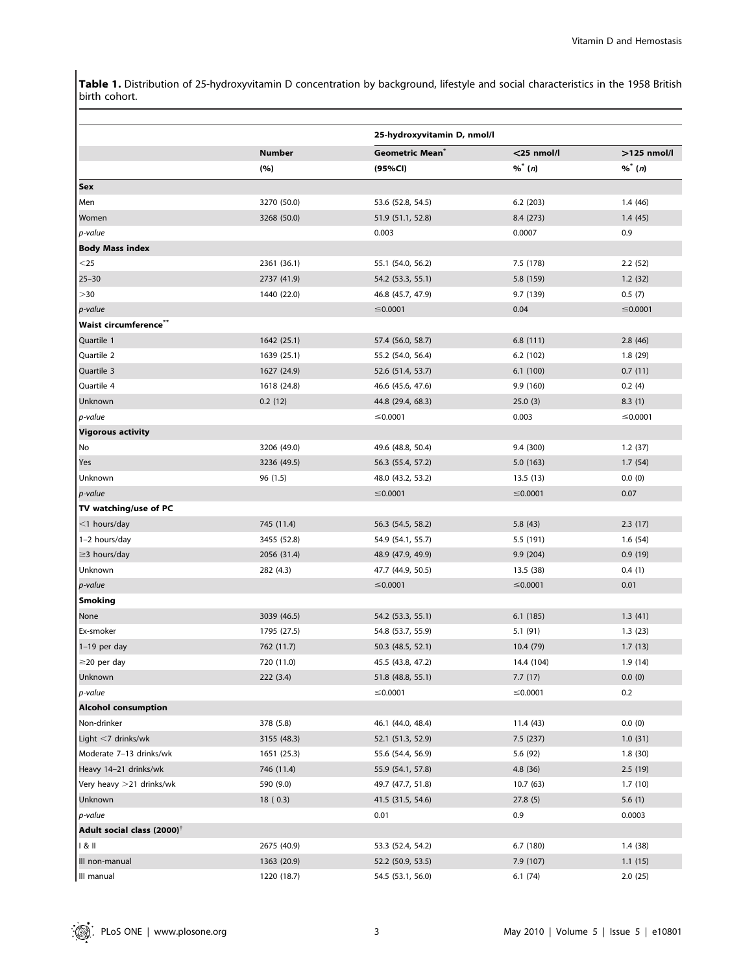Table 1. Distribution of 25-hydroxyvitamin D concentration by background, lifestyle and social characteristics in the 1958 British birth cohort.

|                                        |                      | 25-hydroxyvitamin D, nmol/l                   |                          |                            |
|----------------------------------------|----------------------|-----------------------------------------------|--------------------------|----------------------------|
|                                        | <b>Number</b><br>(%) | <b>Geometric Mean</b> <sup>®</sup><br>(95%CI) | $<$ 25 nmol/l<br>$%$ (n) | $>125$ nmol/l<br>$%$ * (n) |
|                                        |                      |                                               |                          |                            |
| Sex                                    |                      |                                               |                          |                            |
| Men                                    | 3270 (50.0)          | 53.6 (52.8, 54.5)                             | 6.2(203)                 | 1.4(46)                    |
| Women                                  | 3268 (50.0)          | 51.9 (51.1, 52.8)                             | 8.4 (273)                | 1.4(45)                    |
| p-value                                |                      | 0.003                                         | 0.0007                   | 0.9                        |
| <b>Body Mass index</b>                 |                      |                                               |                          |                            |
| $<$ 25                                 | 2361 (36.1)          | 55.1 (54.0, 56.2)                             | 7.5 (178)                | 2.2(52)                    |
| $25 - 30$                              | 2737 (41.9)          | 54.2 (53.3, 55.1)                             | 5.8 (159)                | 1.2(32)                    |
| >30                                    | 1440 (22.0)          | 46.8 (45.7, 47.9)                             | 9.7 (139)                | 0.5(7)                     |
| p-value                                |                      | $≤$ 0.0001                                    | 0.04                     | ≤0.0001                    |
| Waist circumference"                   |                      |                                               |                          |                            |
| Quartile 1                             | 1642 (25.1)          | 57.4 (56.0, 58.7)                             | 6.8(111)                 | 2.8(46)                    |
| Quartile 2                             | 1639 (25.1)          | 55.2 (54.0, 56.4)                             | 6.2(102)                 | 1.8(29)                    |
| Quartile 3                             | 1627 (24.9)          | 52.6 (51.4, 53.7)                             | 6.1(100)                 | 0.7(11)                    |
| Quartile 4                             | 1618 (24.8)          | 46.6 (45.6, 47.6)                             | 9.9 (160)                | 0.2(4)                     |
| Unknown                                | 0.2(12)              | 44.8 (29.4, 68.3)                             | 25.0(3)                  | 8.3(1)                     |
| p-value                                |                      | ≤0.0001                                       | 0.003                    | ≤0.0001                    |
| <b>Vigorous activity</b>               |                      |                                               |                          |                            |
| No                                     | 3206 (49.0)          | 49.6 (48.8, 50.4)                             | 9.4 (300)                | 1.2(37)                    |
| Yes                                    | 3236 (49.5)          | 56.3 (55.4, 57.2)                             | 5.0(163)                 | 1.7(54)                    |
| Unknown                                | 96(1.5)              | 48.0 (43.2, 53.2)                             | 13.5 (13)                | 0.0(0)                     |
| p-value                                |                      | $≤$ 0.0001                                    | ≤0.0001                  | 0.07                       |
| TV watching/use of PC                  |                      |                                               |                          |                            |
| $<$ 1 hours/day                        | 745 (11.4)           | 56.3 (54.5, 58.2)                             | 5.8(43)                  | 2.3(17)                    |
| 1-2 hours/day                          | 3455 (52.8)          | 54.9 (54.1, 55.7)                             | 5.5 (191)                | 1.6(54)                    |
| $\geq$ 3 hours/day                     | 2056 (31.4)          | 48.9 (47.9, 49.9)                             | 9.9(204)                 | 0.9(19)                    |
| Unknown                                | 282 (4.3)            | 47.7 (44.9, 50.5)                             | 13.5 (38)                | 0.4(1)                     |
| p-value                                |                      | $≤$ 0.0001                                    | ≤0.0001                  | 0.01                       |
| <b>Smoking</b>                         |                      |                                               |                          |                            |
| None                                   | 3039 (46.5)          | 54.2 (53.3, 55.1)                             | 6.1(185)                 | 1.3(41)                    |
| Ex-smoker                              | 1795 (27.5)          | 54.8 (53.7, 55.9)                             | 5.1(91)                  | 1.3(23)                    |
| $1-19$ per day                         | 762 (11.7)           | 50.3 (48.5, 52.1)                             | 10.4 (79)                | 1.7(13)                    |
| $\geq$ 20 per day                      | 720 (11.0)           | 45.5 (43.8, 47.2)                             | 14.4 (104)               | 1.9(14)                    |
| Unknown                                | 222(3.4)             | 51.8 (48.8, 55.1)                             | 7.7(17)                  | 0.0(0)                     |
| p-value                                |                      | ≤0.0001                                       | ≤0.0001                  | 0.2                        |
| <b>Alcohol consumption</b>             |                      |                                               |                          |                            |
| Non-drinker                            | 378 (5.8)            | 46.1 (44.0, 48.4)                             | 11.4 (43)                | 0.0(0)                     |
| Light $<$ 7 drinks/wk                  | 3155 (48.3)          | 52.1 (51.3, 52.9)                             | 7.5(237)                 | 1.0(31)                    |
| Moderate 7-13 drinks/wk                | 1651 (25.3)          | 55.6 (54.4, 56.9)                             | 5.6 (92)                 | 1.8(30)                    |
| Heavy 14-21 drinks/wk                  | 746 (11.4)           | 55.9 (54.1, 57.8)                             | 4.8(36)                  | 2.5(19)                    |
| Very heavy >21 drinks/wk               | 590 (9.0)            | 49.7 (47.7, 51.8)                             | 10.7(63)                 | 1.7(10)                    |
| Unknown                                | 18(0.3)              | 41.5 (31.5, 54.6)                             | 27.8(5)                  | 5.6(1)                     |
| p-value                                |                      | 0.01                                          | 0.9                      | 0.0003                     |
| Adult social class (2000) $^{\dagger}$ |                      |                                               |                          |                            |
| 1 & 81                                 | 2675 (40.9)          | 53.3 (52.4, 54.2)                             | 6.7 (180)                | 1.4(38)                    |
| III non-manual                         | 1363 (20.9)          | 52.2 (50.9, 53.5)                             | 7.9 (107)                | 1.1(15)                    |
| III manual                             | 1220 (18.7)          |                                               |                          |                            |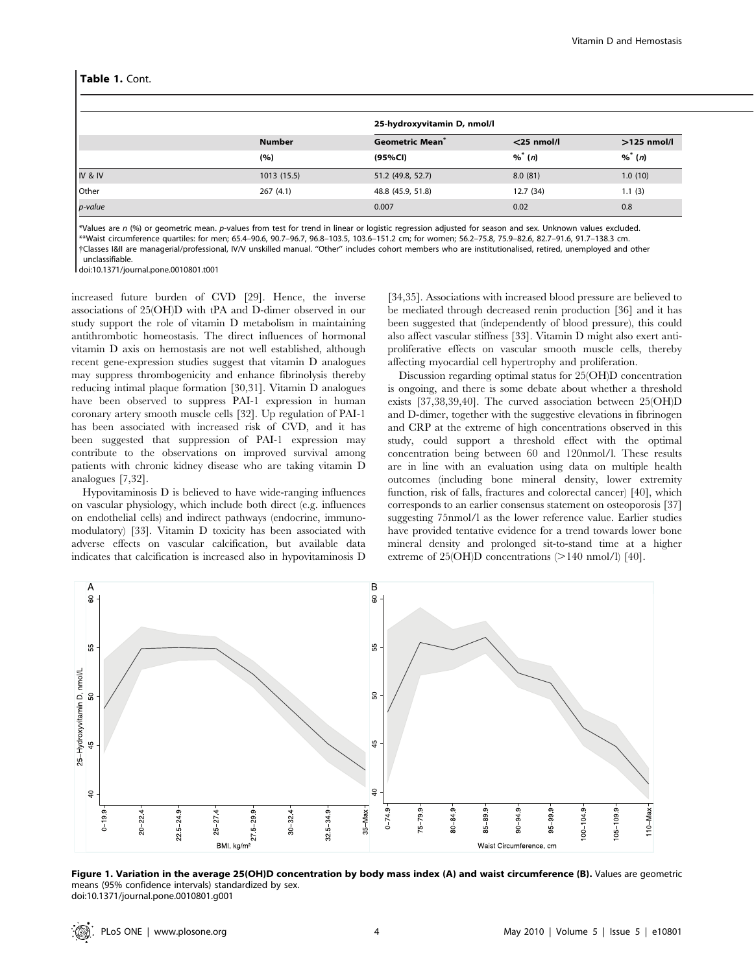## Table 1. Cont.

|         | <b>Number</b><br>(%) | 25-hydroxyvitamin D, nmol/l      |                           |                                        |
|---------|----------------------|----------------------------------|---------------------------|----------------------------------------|
|         |                      | <b>Geometric Mean</b><br>(95%Cl) | $<$ 25 nmol/l<br>$\%$ (n) | $>125$ nmol/l<br>$\%$ <sup>*</sup> (n) |
|         |                      |                                  |                           |                                        |
| IV & IV | 1013(15.5)           | 51.2 (49.8, 52.7)                | 8.0(81)                   | 1.0(10)                                |
| Other   | 267(4.1)             | 48.8 (45.9, 51.8)                | 12.7(34)                  | 1.1(3)                                 |
| p-value |                      | 0.007                            | 0.02                      | 0.8                                    |

\*Values are n (%) or geometric mean. p-values from test for trend in linear or logistic regression adjusted for season and sex. Unknown values excluded. \*\*Waist circumference quartiles: for men; 65.4–90.6, 90.7–96.7, 96.8–103.5, 103.6–151.2 cm; for women; 56.2–75.8, 75.9–82.6, 82.7–91.6, 91.7–138.3 cm. {Classes I&II are managerial/professional, IV/V unskilled manual. ''Other'' includes cohort members who are institutionalised, retired, unemployed and other unclassifiable.

doi:10.1371/journal.pone.0010801.t001

increased future burden of CVD [29]. Hence, the inverse associations of 25(OH)D with tPA and D-dimer observed in our study support the role of vitamin D metabolism in maintaining antithrombotic homeostasis. The direct influences of hormonal vitamin D axis on hemostasis are not well established, although recent gene-expression studies suggest that vitamin D analogues may suppress thrombogenicity and enhance fibrinolysis thereby reducing intimal plaque formation [30,31]. Vitamin D analogues have been observed to suppress PAI-1 expression in human coronary artery smooth muscle cells [32]. Up regulation of PAI-1 has been associated with increased risk of CVD, and it has been suggested that suppression of PAI-1 expression may contribute to the observations on improved survival among patients with chronic kidney disease who are taking vitamin D analogues [7,32].

Hypovitaminosis D is believed to have wide-ranging influences on vascular physiology, which include both direct (e.g. influences on endothelial cells) and indirect pathways (endocrine, immunomodulatory) [33]. Vitamin D toxicity has been associated with adverse effects on vascular calcification, but available data indicates that calcification is increased also in hypovitaminosis D

[34,35]. Associations with increased blood pressure are believed to be mediated through decreased renin production [36] and it has been suggested that (independently of blood pressure), this could also affect vascular stiffness [33]. Vitamin D might also exert antiproliferative effects on vascular smooth muscle cells, thereby affecting myocardial cell hypertrophy and proliferation.

Discussion regarding optimal status for 25(OH)D concentration is ongoing, and there is some debate about whether a threshold exists [37,38,39,40]. The curved association between 25(OH)D and D-dimer, together with the suggestive elevations in fibrinogen and CRP at the extreme of high concentrations observed in this study, could support a threshold effect with the optimal concentration being between 60 and 120nmol/l. These results are in line with an evaluation using data on multiple health outcomes (including bone mineral density, lower extremity function, risk of falls, fractures and colorectal cancer) [40], which corresponds to an earlier consensus statement on osteoporosis [37] suggesting 75nmol/l as the lower reference value. Earlier studies have provided tentative evidence for a trend towards lower bone mineral density and prolonged sit-to-stand time at a higher extreme of  $25(OH)D$  concentrations ( $>140$  nmol/l) [40].



Figure 1. Variation in the average 25(OH)D concentration by body mass index (A) and waist circumference (B). Values are geometric means (95% confidence intervals) standardized by sex. doi:10.1371/journal.pone.0010801.g001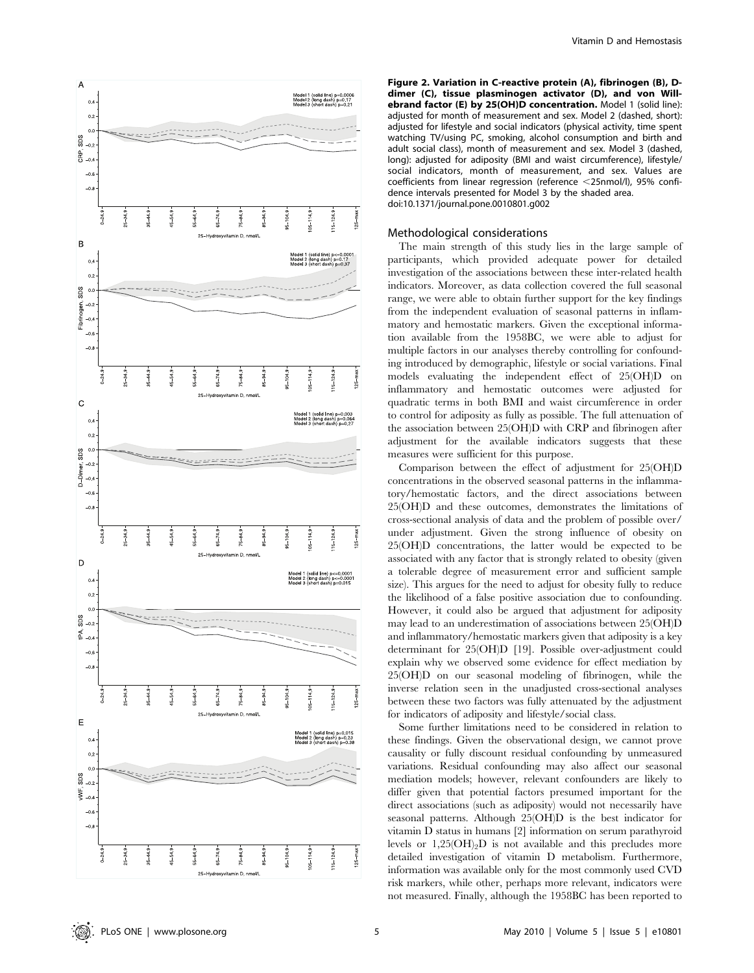

Figure 2. Variation in C-reactive protein (A), fibrinogen (B), Ddimer (C), tissue plasminogen activator (D), and von Willebrand factor (E) by 25(OH)D concentration. Model 1 (solid line): adjusted for month of measurement and sex. Model 2 (dashed, short): adjusted for lifestyle and social indicators (physical activity, time spent watching TV/using PC, smoking, alcohol consumption and birth and adult social class), month of measurement and sex. Model 3 (dashed, long): adjusted for adiposity (BMI and waist circumference), lifestyle/ social indicators, month of measurement, and sex. Values are coefficients from linear regression (reference  $\leq$ 25nmol/l), 95% confidence intervals presented for Model 3 by the shaded area. doi:10.1371/journal.pone.0010801.g002

## Methodological considerations

The main strength of this study lies in the large sample of participants, which provided adequate power for detailed investigation of the associations between these inter-related health indicators. Moreover, as data collection covered the full seasonal range, we were able to obtain further support for the key findings from the independent evaluation of seasonal patterns in inflammatory and hemostatic markers. Given the exceptional information available from the 1958BC, we were able to adjust for multiple factors in our analyses thereby controlling for confounding introduced by demographic, lifestyle or social variations. Final models evaluating the independent effect of 25(OH)D on inflammatory and hemostatic outcomes were adjusted for quadratic terms in both BMI and waist circumference in order to control for adiposity as fully as possible. The full attenuation of the association between 25(OH)D with CRP and fibrinogen after adjustment for the available indicators suggests that these measures were sufficient for this purpose.

Comparison between the effect of adjustment for 25(OH)D concentrations in the observed seasonal patterns in the inflammatory/hemostatic factors, and the direct associations between 25(OH)D and these outcomes, demonstrates the limitations of cross-sectional analysis of data and the problem of possible over/ under adjustment. Given the strong influence of obesity on 25(OH)D concentrations, the latter would be expected to be associated with any factor that is strongly related to obesity (given a tolerable degree of measurement error and sufficient sample size). This argues for the need to adjust for obesity fully to reduce the likelihood of a false positive association due to confounding. However, it could also be argued that adjustment for adiposity may lead to an underestimation of associations between 25(OH)D and inflammatory/hemostatic markers given that adiposity is a key determinant for 25(OH)D [19]. Possible over-adjustment could explain why we observed some evidence for effect mediation by 25(OH)D on our seasonal modeling of fibrinogen, while the inverse relation seen in the unadjusted cross-sectional analyses between these two factors was fully attenuated by the adjustment for indicators of adiposity and lifestyle/social class.

Some further limitations need to be considered in relation to these findings. Given the observational design, we cannot prove causality or fully discount residual confounding by unmeasured variations. Residual confounding may also affect our seasonal mediation models; however, relevant confounders are likely to differ given that potential factors presumed important for the direct associations (such as adiposity) would not necessarily have seasonal patterns. Although 25(OH)D is the best indicator for vitamin D status in humans [2] information on serum parathyroid levels or  $1,25(OH)_{2}D$  is not available and this precludes more detailed investigation of vitamin D metabolism. Furthermore, information was available only for the most commonly used CVD risk markers, while other, perhaps more relevant, indicators were not measured. Finally, although the 1958BC has been reported to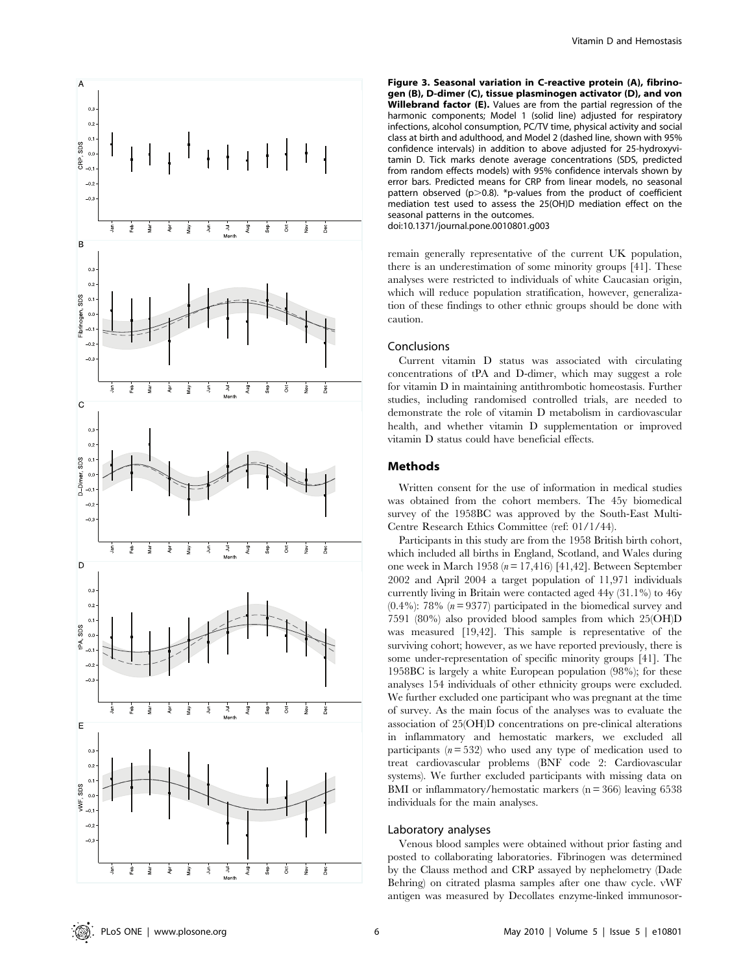

Figure 3. Seasonal variation in C-reactive protein (A), fibrinogen (B), D-dimer (C), tissue plasminogen activator (D), and von Willebrand factor (E). Values are from the partial regression of the harmonic components; Model 1 (solid line) adjusted for respiratory infections, alcohol consumption, PC/TV time, physical activity and social class at birth and adulthood, and Model 2 (dashed line, shown with 95% confidence intervals) in addition to above adjusted for 25-hydroxyvitamin D. Tick marks denote average concentrations (SDS, predicted from random effects models) with 95% confidence intervals shown by error bars. Predicted means for CRP from linear models, no seasonal pattern observed ( $p > 0.8$ ). \*p-values from the product of coefficient mediation test used to assess the 25(OH)D mediation effect on the seasonal patterns in the outcomes. doi:10.1371/journal.pone.0010801.g003

remain generally representative of the current UK population, there is an underestimation of some minority groups [41]. These analyses were restricted to individuals of white Caucasian origin, which will reduce population stratification, however, generalization of these findings to other ethnic groups should be done with caution.

### Conclusions

Current vitamin D status was associated with circulating concentrations of tPA and D-dimer, which may suggest a role for vitamin D in maintaining antithrombotic homeostasis. Further studies, including randomised controlled trials, are needed to demonstrate the role of vitamin D metabolism in cardiovascular health, and whether vitamin D supplementation or improved vitamin D status could have beneficial effects.

## Methods

Written consent for the use of information in medical studies was obtained from the cohort members. The 45y biomedical survey of the 1958BC was approved by the South-East Multi-Centre Research Ethics Committee (ref: 01/1/44).

Participants in this study are from the 1958 British birth cohort, which included all births in England, Scotland, and Wales during one week in March 1958 ( $n = 17,416$ ) [41,42]. Between September 2002 and April 2004 a target population of 11,971 individuals currently living in Britain were contacted aged 44y (31.1%) to 46y  $(0.4\%)$ : 78% ( $n = 9377$ ) participated in the biomedical survey and 7591 (80%) also provided blood samples from which 25(OH)D was measured [19,42]. This sample is representative of the surviving cohort; however, as we have reported previously, there is some under-representation of specific minority groups [41]. The 1958BC is largely a white European population (98%); for these analyses 154 individuals of other ethnicity groups were excluded. We further excluded one participant who was pregnant at the time of survey. As the main focus of the analyses was to evaluate the association of 25(OH)D concentrations on pre-clinical alterations in inflammatory and hemostatic markers, we excluded all participants  $(n = 532)$  who used any type of medication used to treat cardiovascular problems (BNF code 2: Cardiovascular systems). We further excluded participants with missing data on BMI or inflammatory/hemostatic markers ( $n = 366$ ) leaving 6538 individuals for the main analyses.

# Laboratory analyses

Venous blood samples were obtained without prior fasting and posted to collaborating laboratories. Fibrinogen was determined by the Clauss method and CRP assayed by nephelometry (Dade Behring) on citrated plasma samples after one thaw cycle. vWF antigen was measured by Decollates enzyme-linked immunosor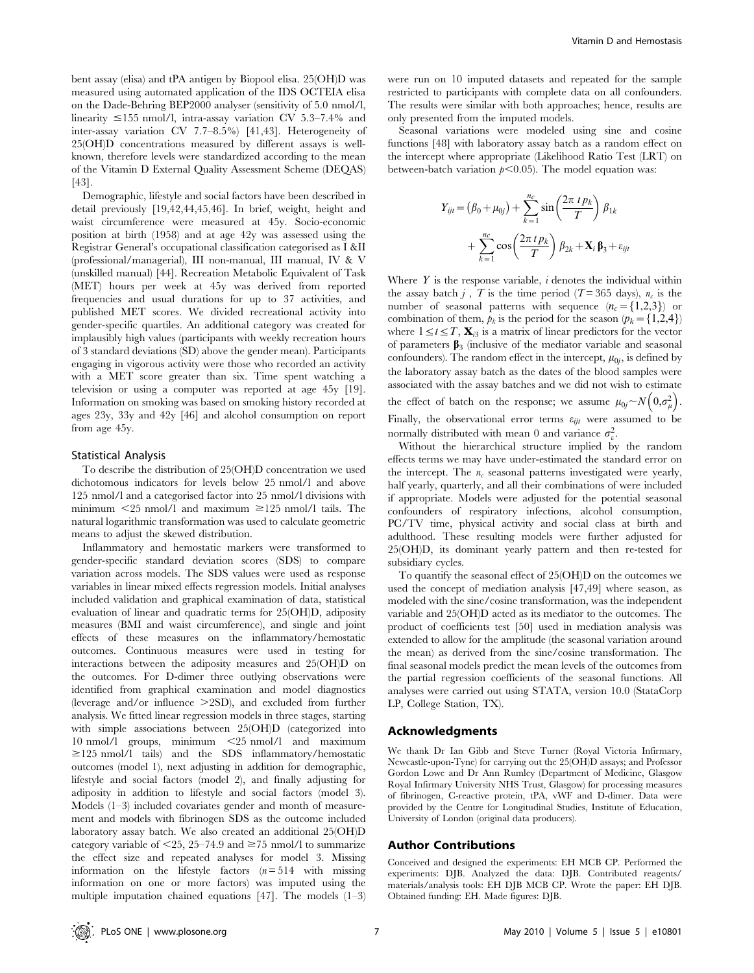bent assay (elisa) and tPA antigen by Biopool elisa. 25(OH)D was measured using automated application of the IDS OCTEIA elisa on the Dade-Behring BEP2000 analyser (sensitivity of 5.0 nmol/l, linearity  $\leq$ 155 nmol/l, intra-assay variation CV 5.3–7.4% and inter-assay variation CV 7.7–8.5%) [41,43]. Heterogeneity of 25(OH)D concentrations measured by different assays is wellknown, therefore levels were standardized according to the mean of the Vitamin D External Quality Assessment Scheme (DEQAS) [43].

Demographic, lifestyle and social factors have been described in detail previously [19,42,44,45,46]. In brief, weight, height and waist circumference were measured at 45y. Socio-economic position at birth (1958) and at age 42y was assessed using the Registrar General's occupational classification categorised as I &II (professional/managerial), III non-manual, III manual, IV & V (unskilled manual) [44]. Recreation Metabolic Equivalent of Task (MET) hours per week at 45y was derived from reported frequencies and usual durations for up to 37 activities, and published MET scores. We divided recreational activity into gender-specific quartiles. An additional category was created for implausibly high values (participants with weekly recreation hours of 3 standard deviations (SD) above the gender mean). Participants engaging in vigorous activity were those who recorded an activity with a MET score greater than six. Time spent watching a television or using a computer was reported at age 45y [19]. Information on smoking was based on smoking history recorded at ages 23y, 33y and 42y [46] and alcohol consumption on report from age 45y.

### Statistical Analysis

To describe the distribution of 25(OH)D concentration we used dichotomous indicators for levels below 25 nmol/l and above 125 nmol/l and a categorised factor into 25 nmol/l divisions with minimum  $\langle 25 \text{ nmol/l} \rangle$  and maximum  $\geq 125 \text{ nmol/l}$  tails. The natural logarithmic transformation was used to calculate geometric means to adjust the skewed distribution.

Inflammatory and hemostatic markers were transformed to gender-specific standard deviation scores (SDS) to compare variation across models. The SDS values were used as response variables in linear mixed effects regression models. Initial analyses included validation and graphical examination of data, statistical evaluation of linear and quadratic terms for 25(OH)D, adiposity measures (BMI and waist circumference), and single and joint effects of these measures on the inflammatory/hemostatic outcomes. Continuous measures were used in testing for interactions between the adiposity measures and 25(OH)D on the outcomes. For D-dimer three outlying observations were identified from graphical examination and model diagnostics (leverage and/or influence  $>2SD$ ), and excluded from further analysis. We fitted linear regression models in three stages, starting with simple associations between 25(OH)D (categorized into 10 nmol/l groups, minimum  $\leq$  25 nmol/l and maximum  $\ge$ 125 nmol/l tails) and the SDS inflammatory/hemostatic outcomes (model 1), next adjusting in addition for demographic, lifestyle and social factors (model 2), and finally adjusting for adiposity in addition to lifestyle and social factors (model 3). Models (1–3) included covariates gender and month of measurement and models with fibrinogen SDS as the outcome included laboratory assay batch. We also created an additional 25(OH)D category variable of  $\leq$ 25, 25–74.9 and  $\geq$ 75 nmol/l to summarize the effect size and repeated analyses for model 3. Missing information on the lifestyle factors  $(n=514)$  with missing information on one or more factors) was imputed using the multiple imputation chained equations [47]. The models (1–3)

were run on 10 imputed datasets and repeated for the sample restricted to participants with complete data on all confounders. The results were similar with both approaches; hence, results are only presented from the imputed models.

Seasonal variations were modeled using sine and cosine functions [48] with laboratory assay batch as a random effect on the intercept where appropriate (Likelihood Ratio Test (LRT) on between-batch variation  $p<0.05$ ). The model equation was:

$$
Y_{ijt} = (\beta_0 + \mu_{0j}) + \sum_{k=1}^{n_c} \sin\left(\frac{2\pi \, t \, p_k}{T}\right) \beta_{1k}
$$

$$
+ \sum_{k=1}^{n_c} \cos\left(\frac{2\pi \, t \, p_k}{T}\right) \beta_{2k} + \mathbf{X}_i \, \boldsymbol{\beta}_3 + \varepsilon_{ij}
$$

Where  $Y$  is the response variable,  $i$  denotes the individual within the assay batch j, T is the time period (T=365 days),  $n_c$  is the number of seasonal patterns with sequence  $(n_c = \{1,2,3\})$  or combination of them,  $p_k$  is the period for the season  $(p_k = \{1,2,4\})$ where  $1 \le t \le T$ ,  $\mathbf{X}_{i3}$  is a matrix of linear predictors for the vector of parameters  $\beta_3$  (inclusive of the mediator variable and seasonal confounders). The random effect in the intercept,  $\mu_{0i}$ , is defined by the laboratory assay batch as the dates of the blood samples were associated with the assay batches and we did not wish to estimate the effect of batch on the response; we assume  $\mu_{0j} \sim N\left(0,\sigma_{\mu}^2\right)$ . Finally, the observational error terms  $\varepsilon_{ijt}$  were assumed to be normally distributed with mean 0 and variance  $\sigma_{\varepsilon}^2$ .

Without the hierarchical structure implied by the random effects terms we may have under-estimated the standard error on the intercept. The  $n_c$  seasonal patterns investigated were yearly, half yearly, quarterly, and all their combinations of were included if appropriate. Models were adjusted for the potential seasonal confounders of respiratory infections, alcohol consumption, PC/TV time, physical activity and social class at birth and adulthood. These resulting models were further adjusted for 25(OH)D, its dominant yearly pattern and then re-tested for subsidiary cycles.

To quantify the seasonal effect of 25(OH)D on the outcomes we used the concept of mediation analysis [47,49] where season, as modeled with the sine/cosine transformation, was the independent variable and 25(OH)D acted as its mediator to the outcomes. The product of coefficients test [50] used in mediation analysis was extended to allow for the amplitude (the seasonal variation around the mean) as derived from the sine/cosine transformation. The final seasonal models predict the mean levels of the outcomes from the partial regression coefficients of the seasonal functions. All analyses were carried out using STATA, version 10.0 (StataCorp LP, College Station, TX).

#### Acknowledgments

We thank Dr Ian Gibb and Steve Turner (Royal Victoria Infirmary, Newcastle-upon-Tyne) for carrying out the 25(OH)D assays; and Professor Gordon Lowe and Dr Ann Rumley (Department of Medicine, Glasgow Royal Infirmary University NHS Trust, Glasgow) for processing measures of fibrinogen, C-reactive protein, tPA, vWF and D-dimer. Data were provided by the Centre for Longitudinal Studies, Institute of Education, University of London (original data producers).

#### Author Contributions

Conceived and designed the experiments: EH MCB CP. Performed the experiments: DJB. Analyzed the data: DJB. Contributed reagents/ materials/analysis tools: EH DJB MCB CP. Wrote the paper: EH DJB. Obtained funding: EH. Made figures: DJB.